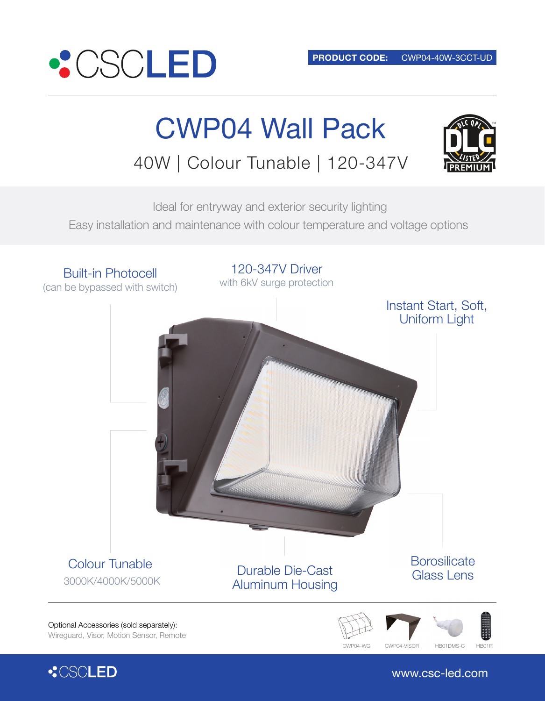

**: CSCLED** 

# CWP04 Wall Pack

40W | Colour Tunable | 120-347V



 Ideal for entryway and exterior security lighting Easy installation and maintenance with colour temperature and voltage options



www.csc-led.com